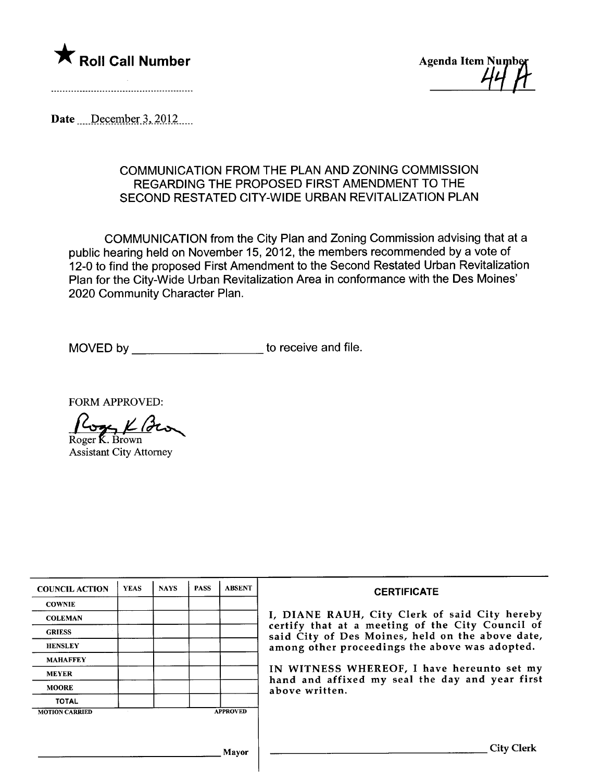

Date December 3,  $2012$ 

## COMMUNICATION FROM THE PLAN AND ZONING COMMISSION REGARDING THE PROPOSED FIRST AMENDMENT TO THE SECOND RESTATED CITY-WIDE URBAN REVITALIZATION PLAN

COMMUNICATION from the City Plan and Zoning Commission advising that at a public hearing held on November 15, 2012, the members recommended by a vote of 12-0 to find the proposed First Amendment to the Second Restated Urban Revitalization Plan for the City-Wide Urban Revitalization Area in conformance with the Des Moines' 2020 Community Character Plan.

MOVED by \_\_\_\_\_\_\_\_\_\_\_\_\_\_\_\_\_\_\_\_\_\_\_\_ to receive and file.

FORM APPROVED:

Roger K. Brown

Assistant City Attorney

| <b>COUNCIL ACTION</b> | <b>YEAS</b> | <b>NAYS</b> | <b>PASS</b> | <b>ABSENT</b>   | <b>CERTIFICATE</b>                                                                                |
|-----------------------|-------------|-------------|-------------|-----------------|---------------------------------------------------------------------------------------------------|
| <b>COWNIE</b>         |             |             |             |                 |                                                                                                   |
| <b>COLEMAN</b>        |             |             |             |                 | I, DIANE RAUH, City Clerk of said City hereby<br>certify that at a meeting of the City Council of |
| <b>GRIESS</b>         |             |             |             |                 | said City of Des Moines, held on the above date,                                                  |
| <b>HENSLEY</b>        |             |             |             |                 | among other proceedings the above was adopted.                                                    |
| <b>MAHAFFEY</b>       |             |             |             |                 |                                                                                                   |
| <b>MEYER</b>          |             |             |             |                 | IN WITNESS WHEREOF, I have hereunto set my<br>hand and affixed my seal the day and year first     |
| <b>MOORE</b>          |             |             |             |                 | above written.                                                                                    |
| <b>TOTAL</b>          |             |             |             |                 |                                                                                                   |
| <b>MOTION CARRIED</b> |             |             |             | <b>APPROVED</b> |                                                                                                   |
|                       |             |             |             |                 |                                                                                                   |
|                       |             |             |             | Mayor           | <b>City Clerk</b>                                                                                 |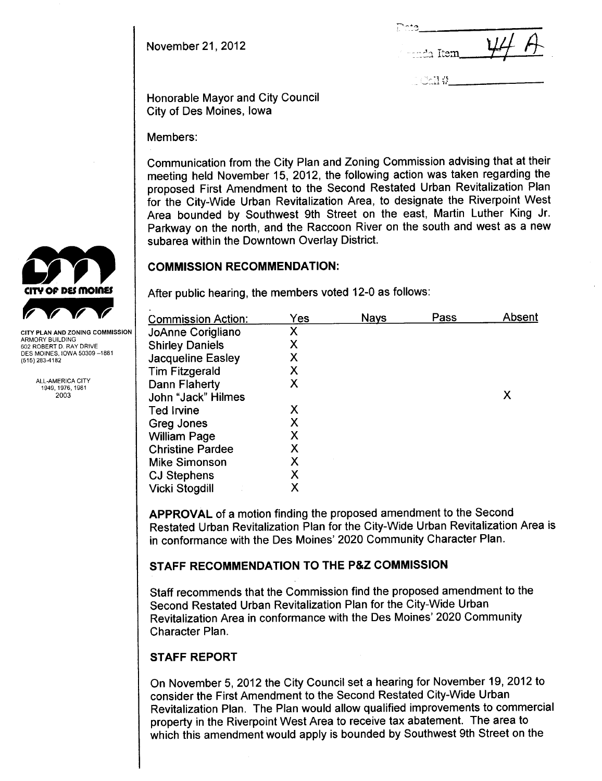November 21,2012

 $\Gamma$ nts  $\sim$  -  $\sim$   $\sim$  Item

 $\left\langle \right\rangle$ 

Honorable Mayor and City Council City of Des Moines, lowa

Members:

Communication from the City Plan and Zoning Commission advising that at their meeting held November 15, 2012, the following action was taken regarding the proposed First Amendment to the Second Restated Urban Revitalization Plan for the City-Wide Urban Revitalization Area, to designate the Riverpoint West Area bounded by Southwest 9th Street on the east, Martin Luther King Jr. Parkway on the north, and the Raccoon River on the south and west as a new subarea within the Downtown Overlay District.

### COMMISSION RECOMMENDATION:

After public hearing, the members voted 12-0 as follows:

| <b>Commission Action:</b> | Yes | <b>Nays</b> | Pass | Absent |
|---------------------------|-----|-------------|------|--------|
| JoAnne Corigliano         | X   |             |      |        |
| <b>Shirley Daniels</b>    | X   |             |      |        |
| <b>Jacqueline Easley</b>  | Χ   |             |      |        |
| <b>Tim Fitzgerald</b>     | Χ   |             |      |        |
| Dann Flaherty             | Χ   |             |      |        |
| John "Jack" Hilmes        |     |             |      | Χ      |
| <b>Ted Irvine</b>         | Х   |             |      |        |
| Greg Jones                | Χ   |             |      |        |
| <b>William Page</b>       | Χ   |             |      |        |
| <b>Christine Pardee</b>   | Χ   |             |      |        |
| <b>Mike Simonson</b>      | Χ   |             |      |        |
| CJ Stephens               | Χ   |             |      |        |
| Vicki Stogdill            | Χ   |             |      |        |

APPROVAL of a motion finding the proposed amendment to the Second Restated Urban Revitalization Plan for the City-Wide Urban Revitalization Area is in conformance with the Des Moines' 2020 Community Character Plan.

### STAFF RECOMMENDATION TO THE P&Z COMMISSION

Staff recommends that the Commission find the proposed amendment to the Second Restated Urban Revitalization Plan for the City-Wide Urban Revitalization Area in conformance with the Des Moines' 2020 Community Character Plan.

## STAFF REPORT

On November 5, 2012 the City Council set a hearing for November 19, 2012 to consider the First Amendment to the Second Restated City-Wide Urban Revitalization Plan. The Plan would allow qualified improvements to commercial property in the Riverpoint West Area to receive tax abatement. The area to which this amendment would apply is bounded by Southwest 9th Street on the



ARMORY BUILDING 602 ROBERT D. RAY DRIVE DES MOINES, IOWA 50309-1881 (515) 283-4182

> ALL-AMERICA CITY 1949,1976,1981 2003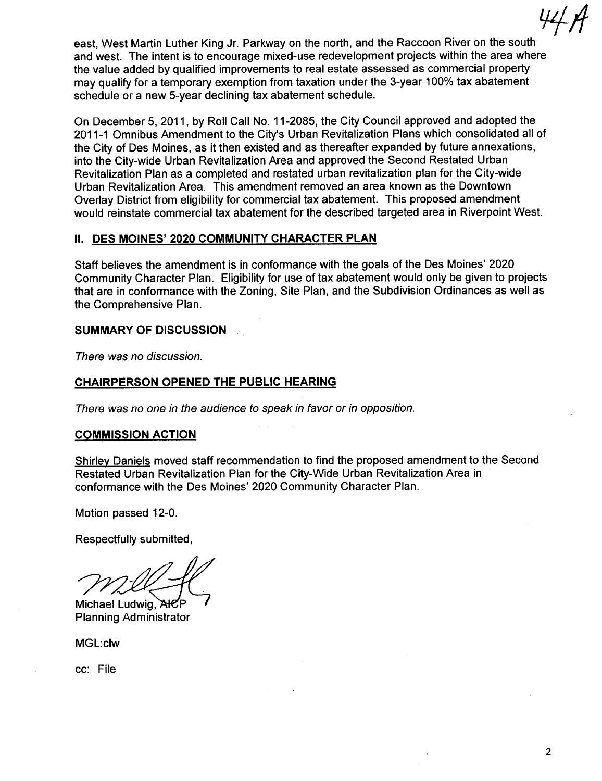$\frac{1}{2}$ 

east, West Martin Luther King Jr. Parkway on the north, and the Raccoon River on the south and west. The intent is to encourage mixed-use redevelopment projects within the area where the value added by qualified improvements to real estate assessed as commercial property may qualify for a temporary exemption from taxation under the 3-year 100% tax abatement schedule or a new 5-year declining tax abatement schedule.

On December 5, 2011, by Roll Call No. 11-2085, the City Council approved and adopted the 2011-1 Omnibus Amendment to the City's Urban Revitalization Plans which consolidated all of the City of Des Moines, as it then existed and as thereafter expanded by future annexations, into the City-wide Urban Revitalization Area and approved the Second Restated Urban Revitalization Plan as a completed and restated urban revitalization plan for the City-wide Urban Revitalization Area. This amendment removed an area known as the Downtown Overlay District from eligibility for commercial tax abatement. This proposed amendment would reinstate commercial tax abatement for the described targeted area in Riverpoint West.

## II. DES MOINES' 2020 COMMUNITY CHARACTER PLAN

Staff believes the amendment is in conformance with the goals of the Des Moines' 2020 Community Character Plan. Eligibility for use of tax abatement would only be given to projects that are in conformance with the Zoning, Site Plan, and the Subdivision Ordinances as well as the Comprehensive Plan.

## SUMMARY OF DISCUSSION

There was no discussion.

## CHAIRPERSON OPENED THE PUBLIC HEARING

There was no one in the audience to speak in favor or in opposition.

### COMMISSION ACTION

Shirlev Daniels moved staff recommendation to find the proposed amendment to the Second Restated Urban Revitalization Plan for the City-Wide Urban Revitalization Area in conformance with the Des Moines' 2020 Community Character Plan.

Motion passed 12-0.

Respectfully submitted,

Michael Ludwig, AICP Planning Administrator

MGL:clw

cc: File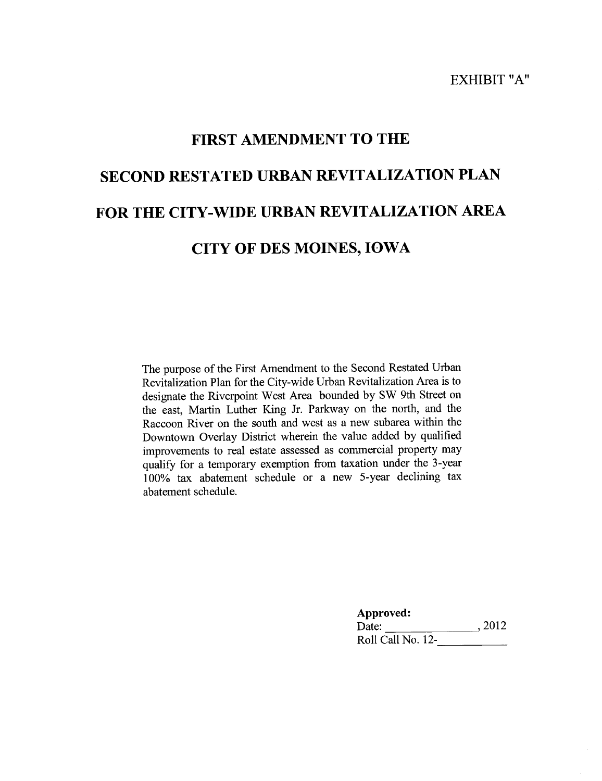# FIRST AMENDMENT TO THE SECOND RESTATED URBAN REVITALIZATION PLAN FOR THE CITY-WIDE URBAN REVITALIZATION AREA CITY OF DES MOINES, IOWA

The purpose of the First Amendment to the Second Restated Urban Revitalization Plan for the City-wide Urban Revitalization Area is to designate the Riverpoint West Area bounded by SW 9th Street on the east, Martin Luther King Jr. Parkway on the north, and the Raccoon River on the south and west as a new subarea within the Downtown Overlay District wherein the value added by qualified improvements to real estate assessed as commercial property may qualify for a temporary exemption from taxation under the 3-year 100% tax abatement schedule or a new 5-year declining tax abatement schedule.

> Approved: Date: ,2012 Roll Call No. 12-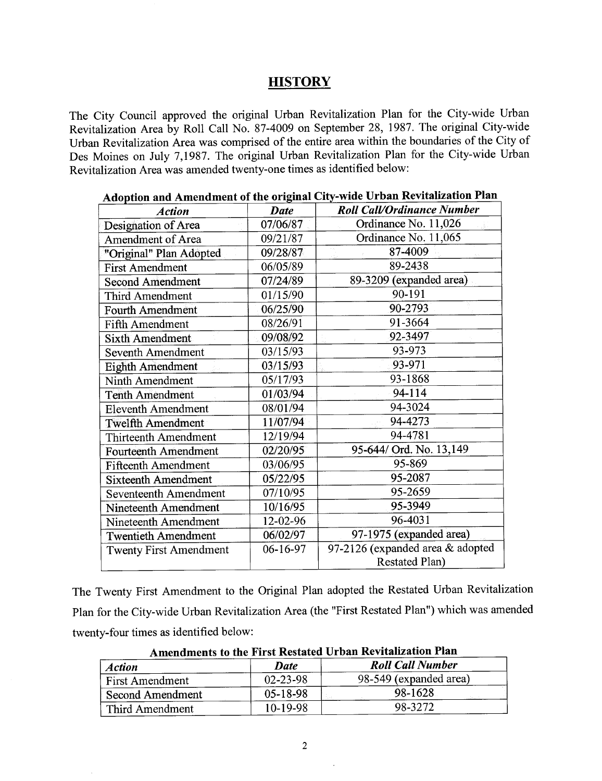## **HISTORY**

The City Council approved the original Urban Revitalization Plan for the City-wide Urban Revitalization Area by Roll Call No. 87-4009 on September 28, 1987. The original City-wide Urban Revitalization Area was comprised of the entire area within the boundaries of the City of Des Moines on July 7,1987. The original Urban Revitalization Plan for the City-wide Urban Revitalization Area was amended twenty-one times as identified below:

| <b>Action</b>                 | -<br><b>Date</b> | <b>Roll Call/Ordinance Number</b> |  |
|-------------------------------|------------------|-----------------------------------|--|
| Designation of Area           | 07/06/87         | Ordinance No. 11,026              |  |
| <b>Amendment of Area</b>      | 09/21/87         | Ordinance No. 11,065              |  |
| "Original" Plan Adopted       | 09/28/87         | 87-4009                           |  |
| <b>First Amendment</b>        | 06/05/89         | 89-2438                           |  |
| <b>Second Amendment</b>       | 07/24/89         | 89-3209 (expanded area)           |  |
| Third Amendment               | 01/15/90         | 90-191                            |  |
| <b>Fourth Amendment</b>       | 06/25/90         | 90-2793                           |  |
| Fifth Amendment               | 08/26/91         | 91-3664                           |  |
| <b>Sixth Amendment</b>        | 09/08/92         | 92-3497                           |  |
| <b>Seventh Amendment</b>      | 03/15/93         | 93-973                            |  |
| <b>Eighth Amendment</b>       | 03/15/93         | 93-971                            |  |
| Ninth Amendment               | 05/17/93         | 93-1868                           |  |
| <b>Tenth Amendment</b>        | 01/03/94         | 94-114                            |  |
| <b>Eleventh Amendment</b>     | 08/01/94         | 94-3024                           |  |
| <b>Twelfth Amendment</b>      | 11/07/94         | 94-4273                           |  |
| Thirteenth Amendment          | 12/19/94         | 94-4781                           |  |
| <b>Fourteenth Amendment</b>   | 02/20/95         | 95-644/ Ord. No. 13,149           |  |
| <b>Fifteenth Amendment</b>    | 03/06/95         | 95-869                            |  |
| <b>Sixteenth Amendment</b>    | 05/22/95         | 95-2087                           |  |
| <b>Seventeenth Amendment</b>  | 07/10/95         | 95-2659                           |  |
| Nineteenth Amendment          | 10/16/95         | 95-3949                           |  |
| Nineteenth Amendment          | 12-02-96         | 96-4031                           |  |
| <b>Twentieth Amendment</b>    | 06/02/97         | 97-1975 (expanded area)           |  |
| <b>Twenty First Amendment</b> | 06-16-97         | 97-2126 (expanded area & adopted  |  |
|                               |                  | Restated Plan)                    |  |

Adoption and Amendment of the original City-wide Urban Revitalization Plan

The Twenty First Amendment to the Original Plan adopted the Restated Urban Revitalization Plan for the City-wide Urban Revitalization Area (the "First Restated Plan") which was amended twenty-four times as identified below:

| Action                  | Date           | <b>Roll Call Number</b> |  |  |
|-------------------------|----------------|-------------------------|--|--|
| <b>First Amendment</b>  | $02 - 23 - 98$ | 98-549 (expanded area)  |  |  |
| <b>Second Amendment</b> | 05-18-98       | 98-1628                 |  |  |
| Third Amendment         | 10-19-98       | 98-3272                 |  |  |

Amendments to the First Restated Urban Revitalization Plan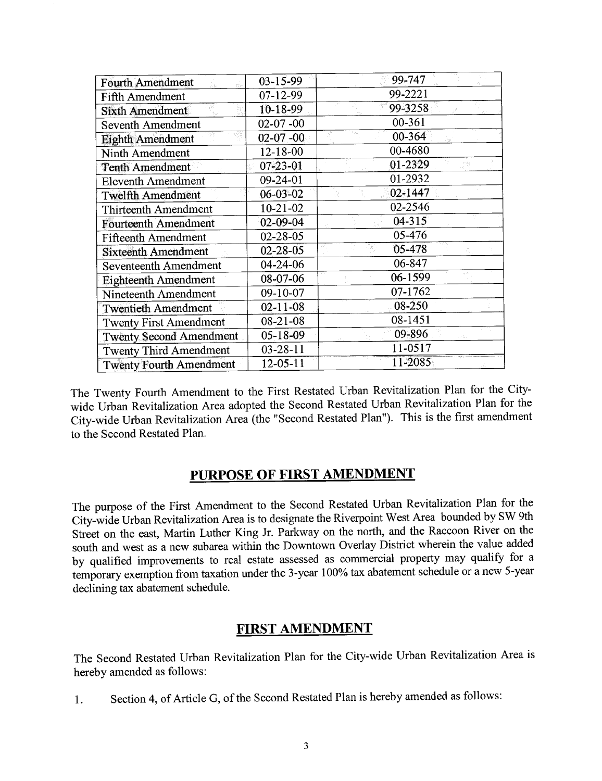| <b>Fourth Amendment</b>        | 03-15-99       | 99-747     |
|--------------------------------|----------------|------------|
| <b>Fifth Amendment</b>         | 07-12-99       | 99-2221    |
| <b>Sixth Amendment</b>         | 10-18-99       | 99-3258    |
| Seventh Amendment              | $02-07 - 00$   | 00-361     |
| <b>Eighth Amendment</b>        | $02-07-00$     | $00 - 364$ |
| Ninth Amendment                | 12-18-00       | 00-4680    |
| <b>Tenth Amendment</b>         | 07-23-01       | 01-2329    |
| <b>Eleventh Amendment</b>      | 09-24-01       | 01-2932    |
| <b>Twelfth Amendment</b>       | 06-03-02       | 02-1447    |
| Thirteenth Amendment           | $10-21-02$     | 02-2546    |
| <b>Fourteenth Amendment</b>    | 02-09-04       | $04 - 315$ |
| <b>Fifteenth Amendment</b>     | $02 - 28 - 05$ | 05-476     |
| <b>Sixteenth Amendment</b>     | $02 - 28 - 05$ | 05-478     |
| Seventeenth Amendment          | 04-24-06       | 06-847     |
| <b>Eighteenth Amendment</b>    | 08-07-06       | 06-1599    |
| Nineteenth Amendment           | 09-10-07       | 07-1762    |
| <b>Twentieth Amendment</b>     | $02 - 11 - 08$ | 08-250     |
| <b>Twenty First Amendment</b>  | $08-21-08$     | 08-1451    |
| <b>Twenty Second Amendment</b> | $05 - 18 - 09$ | 09-896     |
| <b>Twenty Third Amendment</b>  | $03 - 28 - 11$ | 11-0517    |
| <b>Twenty Fourth Amendment</b> | $12 - 05 - 11$ | 11-2085    |

The Twenty Fourth Amendment to the First Restated Urban Revitalization Plan for the Citywide Urban Revitalization Area adopted the Second Restated Urban Revitalization Plan for the City-wide Urban Revitalization Area (the "Second Restated Plan"). This is the first amendment to the Second Restated Plan.

## PURPOSE OF FIRST AMENDMENT

The purpose of the First Amendment to the Second Restated Urban Revitalization Plan for the City-wide Urban Revitalization Area is to designate the Riverpoint West Area bounded by SW 9th Street on the east, Marin Luther King Jr. Parkway on the north, and the Raccoon River on the south and west as a new subarea within the Downtown Overlay District wherein the value added by qualified improvements to real estate assessed as commercial property may qualify for a temporary exemption from taxation under the 3-year 100% tax abatement schedule or a new 5-year declining tax abatement schedule.

## FIRST AMENDMENT

The Second Restated Urban Revitalization Plan for the City-wide Urban Revitalization Area is hereby amended as follows:

1. Section 4, of Article G, of the Second Restated Plan is hereby amended as follows: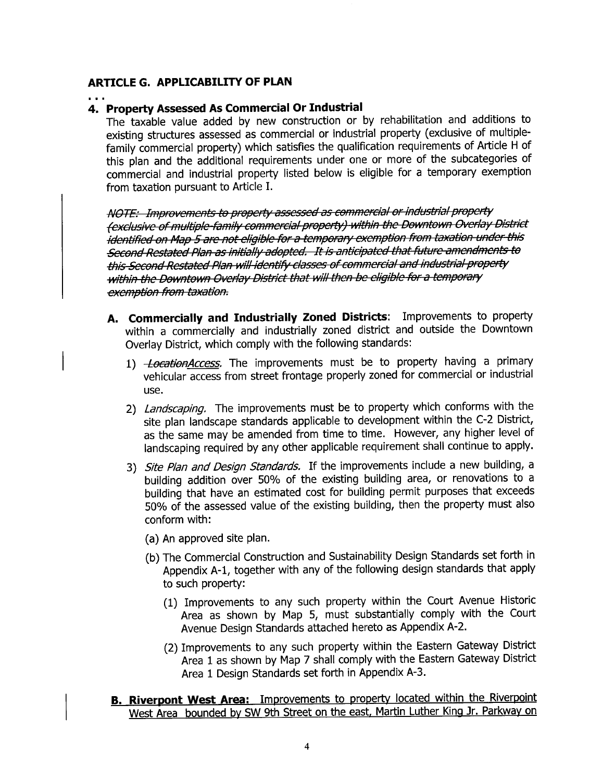## ARTICLE G. APPLICABILITY OF PLAN

#### 4. Property Assessed As Commercial Or Industrial

The taxable value added by new construction or by rehabilitation and additions to existing structures assessed as commercial or industrial property (exclusive of multiplefamily commercial property) which satisfies the qualification requirements of Article H of this plan and the additional requirements under one or more of the subcategories of commercial and industrial property listed below is eligible for a temporary exemption from taxation pursuant to Article 1.

NOTE: Improvements to property assessed as commercial or industrial property fexclusive of multiple-family commercial property) within the Downtown Overlay District identified on Map 5 are not eligible for a temporary exemption from taxation under this Second Restated Plan as initially adopted. It is anticipated that future amendments to this Second Restated Plan will identify classes of commercial and industrial property within the Downtown Overlay District that will then be eligible for a temporary exemption from taxation.

- A. Commercially and Industrially Zoned Districts: Improvements to property within a commercially and industrially zoned district and outside the Downtown Overlay District, which comply with the following standards:
	- 1) *LocationAccess*. The improvements must be to property having a primary vehicular access from street frontage properly zoned for commercial or industrial use.
	- 2) Landscaping. The improvements must be to property which conforms with the site plan landscape standards applicable to development within the C-2 District, as the same may be amended from time to time. However, any higher level of landscaping required by any other applicable requirement shall continue to apply.
	- 3) Site Plan and Design Standards. If the improvements include a new building, a building addition over 50% of the existing building area, or renovations to a building that have an estimated cost for building permit purposes that exceeds 50% of the assessed value of the existing building, then the property must also conform with:
		- (a) An approved site plan.
		- (b) The Commercial Construction and Sustainabilty Design Standards set forth in Appendix A-1, together with any of the following design standards that apply to such property:
			- (1) Improvements to any such property within the Court Avenue Historic Area as shown by Map 5, must substantially comply with the Court Avenue Design Standards attached hereto as Appendix A-2.
			- (2) Improvements to any such property within the Eastern Gateway District Area 1 as shown by Map 7 shall comply with the Eastern Gateway District Area 1 Design Standards set forth in Appendix A-3.
- **B. Riverpont West Area:** Improvements to property located within the Riverpoint West Area bounded by SW 9th Street on the east, Martin Luther King Jr. Parkway on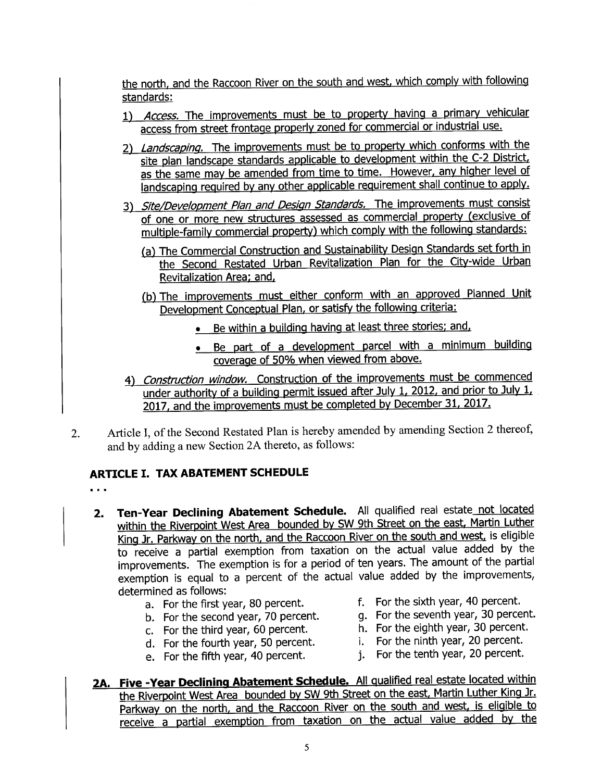the north, and the Raccoon River on the south and west, which comply with following standards:

- 1) Access. The improvements must be to property having a primary vehicular access from street frontage properly zoned for commercial or industrial use.
- 2) Landscaping. The improvements must be to property which conforms with the site plan landscape standards applicable to development within the C-2 District, as the same may be amended from time to time. However, any higher level of landscaping required by any other applicable requirement shall continue to apply.
- 3) Site/Development Plan and Design Standards. The improvements must consist of one or more new structures assessed as commercial property (exclusive of multiple-family commercial property) which comply with the following standards:
	- (a) The Commercial Construction and Sustainability Design Standards set forth in the Second Restated Urban Revitalization Plan for the City-wide Urban Revitalization Area: and.
	- (b) The improvements must either conform with an approved Planned Unit Development Conceptual Plan, or satisfy the following criteria:
		- . Be within a building having at least three stories: and.
		- . Be part of a development parcel with a minimum building coverage of 50% when viewed from above.
- 4) Construction window. Construction of the improvements must be commenced under authority of a building permit issued after July 1. 2012. and prior to July 1. 2017, and the improvements must be completed by December 31. 2017.
- 2. Article I, of the Second Restated Plan is hereby amended by amending Section 2 thereof, and by adding a new Section 2A thereto, as follows:

## ARTICLE I. TAX ABATEMENT SCHEDULE

- $\ddotsc$
- 2. Ten-Year Declining Abatement Schedule. All qualified real estate not located within the Riverpoint West Area bounded by SW 9th Street on the east, Martin Luther King Jr. Parkway on the north, and the Raccoon River on the south and west, is eligible to receive a partial exemption from taxation on the actual value added by the improvements. The exemption is for a period of ten years. The amount of the partial exemption is equal to a percent of the actual value added by the improvements, determined as follows:
	- a. For the first year, 80 percent.<br>
	h. For the second year, 70 percent. 
	a. For the seventh year, 30 percent.
	- b. For the second year, 70 percent. <br>c. For the third year, 60 percent. <br>h. For the eighth year, 30 percent.
	- c. For the third year, 60 percent. h. For the eighth year, 30 percent<br>d. For the fourth year, 50 percent. <br>i. For the ninth year, 20 percent.
	- d. For the fourth year, 50 percent.<br>e. For the fifth year, 40 percent. <br>i. For the tenth year, 20 percent.
	- e. For the fifth year, 40 percent.
- 
- 
- 
- 
- 
- 2A. Five -Year Declining Abatement Schedule. All qualified real estate located within the Riverpoint West Area bounded by SW 9th Street on the east. Martin Luther King Jr. Parkway on the north, and the Raccoon River on the south and west, is eligible to receive a partial exemption from taxation on the actual value added by the